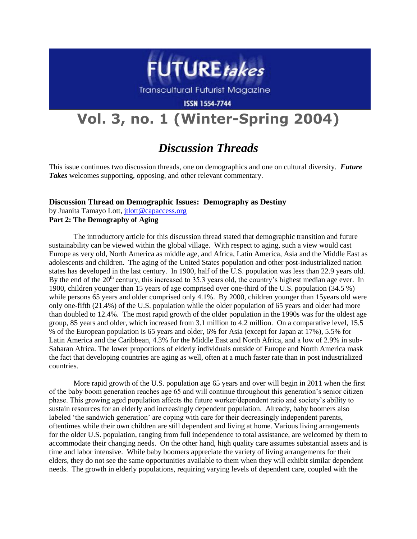

**Transcultural Futurist Magazine** 

**ISSN 1554-7744** 

## **Vol. 3, no. 1 (Winter-Spring 2004)**

## *Discussion Threads*

This issue continues two discussion threads, one on demographics and one on cultural diversity. *Future Takes* welcomes supporting, opposing, and other relevant commentary.

## **Discussion Thread on Demographic Issues: Demography as Destiny**

by Juanita Tamayo Lott, [jtlott@capaccess.org](mailto:jtlott@capaccess.org) **Part 2: The Demography of Aging**

The introductory article for this discussion thread stated that demographic transition and future sustainability can be viewed within the global village. With respect to aging, such a view would cast Europe as very old, North America as middle age, and Africa, Latin America, Asia and the Middle East as adolescents and children. The aging of the United States population and other post-industrialized nation states has developed in the last century. In 1900, half of the U.S. population was less than 22.9 years old. By the end of the  $20<sup>th</sup>$  century, this increased to 35.3 years old, the country's highest median age ever. In 1900, children younger than 15 years of age comprised over one-third of the U.S. population (34.5 %) while persons 65 years and older comprised only 4.1%. By 2000, children younger than 15 years old were only one-fifth (21.4%) of the U.S. population while the older population of 65 years and older had more than doubled to 12.4%. The most rapid growth of the older population in the 1990s was for the oldest age group, 85 years and older, which increased from 3.1 million to 4.2 million. On a comparative level, 15.5 % of the European population is 65 years and older, 6% for Asia (except for Japan at 17%), 5.5% for Latin America and the Caribbean, 4.3% for the Middle East and North Africa, and a low of 2.9% in sub-Saharan Africa. The lower proportions of elderly individuals outside of Europe and North America mask the fact that developing countries are aging as well, often at a much faster rate than in post industrialized countries.

More rapid growth of the U.S. population age 65 years and over will begin in 2011 when the first of the baby boom generation reaches age 65 and will continue throughout this generation"s senior citizen phase. This growing aged population affects the future worker/dependent ratio and society"s ability to sustain resources for an elderly and increasingly dependent population. Already, baby boomers also labeled 'the sandwich generation' are coping with care for their decreasingly independent parents, oftentimes while their own children are still dependent and living at home. Various living arrangements for the older U.S. population, ranging from full independence to total assistance, are welcomed by them to accommodate their changing needs. On the other hand, high quality care assumes substantial assets and is time and labor intensive. While baby boomers appreciate the variety of living arrangements for their elders, they do not see the same opportunities available to them when they will exhibit similar dependent needs. The growth in elderly populations, requiring varying levels of dependent care, coupled with the